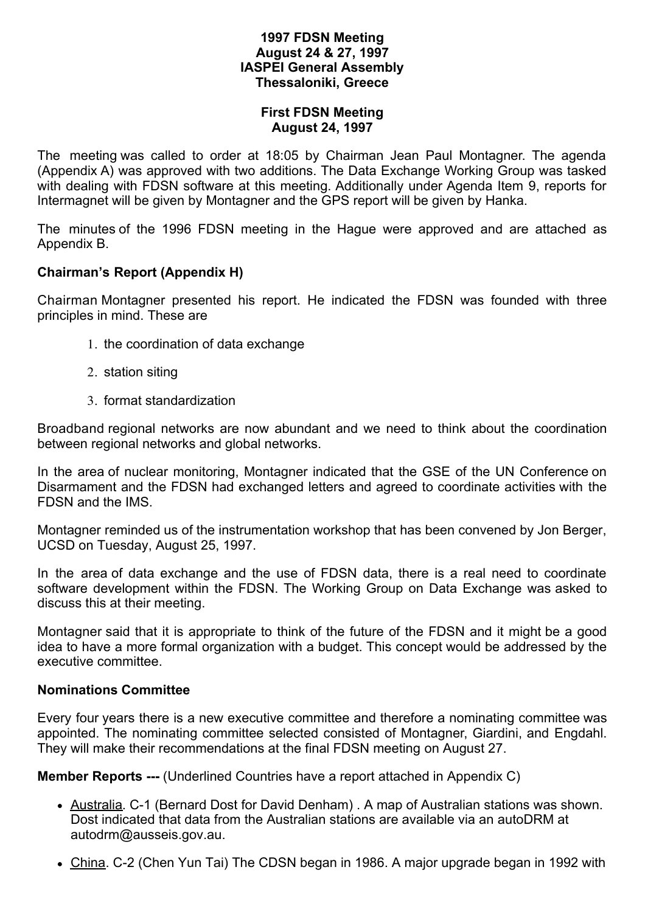#### **1997 FDSN Meeting August 24 & 27, 1997 IASPEI General Assembly Thessaloniki, Greece**

#### **First FDSN Meeting August 24, 1997**

The meeting was called to order at 18:05 by Chairman Jean Paul Montagner. The agenda (Appendix A) was approved with two additions. The Data Exchange Working Group was tasked with dealing with FDSN software at this meeting. Additionally under Agenda Item 9, reports for Intermagnet will be given by Montagner and the GPS report will be given by Hanka.

The minutes of the 1996 FDSN meeting in the Hague were approved and are attached as Appendix B.

### **Chairman's Report (Appendix H)**

Chairman Montagner presented his report. He indicated the FDSN was founded with three principles in mind. These are

- 1. the coordination of data exchange
- 2. station siting
- 3. format standardization

Broadband regional networks are now abundant and we need to think about the coordination between regional networks and global networks.

In the area of nuclear monitoring, Montagner indicated that the GSE of the UN Conference on Disarmament and the FDSN had exchanged letters and agreed to coordinate activities with the FDSN and the IMS.

Montagner reminded us of the instrumentation workshop that has been convened by Jon Berger, UCSD on Tuesday, August 25, 1997.

In the area of data exchange and the use of FDSN data, there is a real need to coordinate software development within the FDSN. The Working Group on Data Exchange was asked to discuss this at their meeting.

Montagner said that it is appropriate to think of the future of the FDSN and it might be a good idea to have a more formal organization with a budget. This concept would be addressed by the executive committee.

#### **Nominations Committee**

Every four years there is a new executive committee and therefore a nominating committee was appointed. The nominating committee selected consisted of Montagner, Giardini, and Engdahl. They will make their recommendations at the final FDSN meeting on August 27.

**Member Reports ---** (Underlined Countries have a report attached in Appendix C)

- Australia. C-1 (Bernard Dost for David Denham) . A map of Australian stations was shown. Dost indicated that data from the Australian stations are available via an autoDRM at autodrm@ausseis.gov.au.
- China. C-2 (Chen Yun Tai) The CDSN began in 1986. A major upgrade began in 1992 with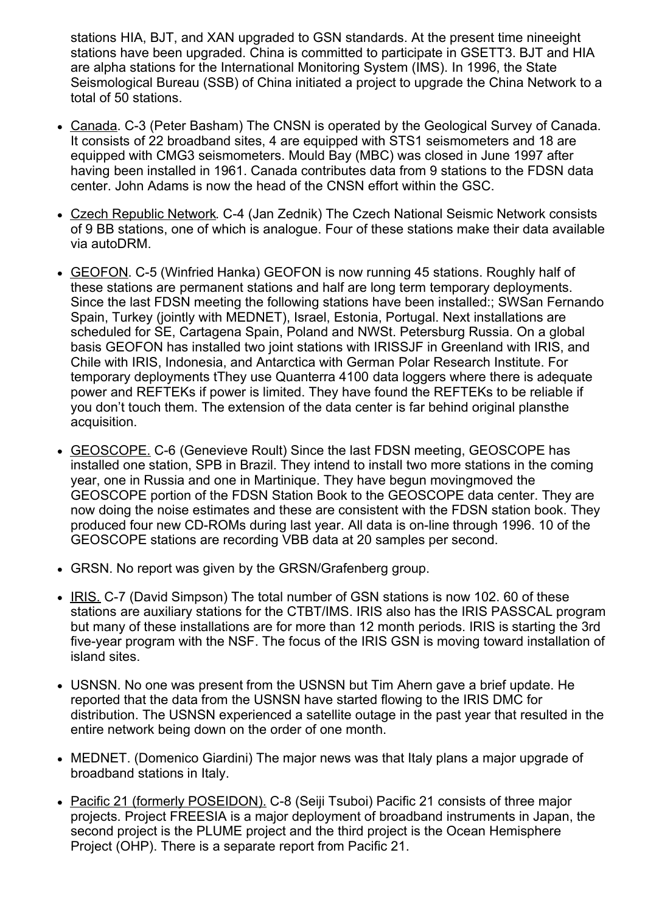stations HIA, BJT, and XAN upgraded to GSN standards. At the present time nineeight stations have been upgraded. China is committed to participate in GSETT3. BJT and HIA are alpha stations for the International Monitoring System (IMS). In 1996, the State Seismological Bureau (SSB) of China initiated a project to upgrade the China Network to a total of 50 stations.

- Canada. C-3 (Peter Basham) The CNSN is operated by the Geological Survey of Canada. It consists of 22 broadband sites, 4 are equipped with STS1 seismometers and 18 are equipped with CMG3 seismometers. Mould Bay (MBC) was closed in June 1997 after having been installed in 1961. Canada contributes data from 9 stations to the FDSN data center. John Adams is now the head of the CNSN effort within the GSC.
- Czech Republic Network. C-4 (Jan Zednik) The Czech National Seismic Network consists of 9 BB stations, one of which is analogue. Four of these stations make their data available via autoDRM.
- GEOFON. C-5 (Winfried Hanka) GEOFON is now running 45 stations. Roughly half of these stations are permanent stations and half are long term temporary deployments. Since the last FDSN meeting the following stations have been installed:; SWSan Fernando Spain, Turkey (jointly with MEDNET), Israel, Estonia, Portugal. Next installations are scheduled for SE, Cartagena Spain, Poland and NWSt. Petersburg Russia. On a global basis GEOFON has installed two joint stations with IRISSJF in Greenland with IRIS, and Chile with IRIS, Indonesia, and Antarctica with German Polar Research Institute. For temporary deployments tThey use Quanterra 4100 data loggers where there is adequate power and REFTEKs if power is limited. They have found the REFTEKs to be reliable if you don't touch them. The extension of the data center is far behind original plansthe acquisition.
- GEOSCOPE. C-6 (Genevieve Roult) Since the last FDSN meeting, GEOSCOPE has installed one station, SPB in Brazil. They intend to install two more stations in the coming year, one in Russia and one in Martinique. They have begun movingmoved the GEOSCOPE portion of the FDSN Station Book to the GEOSCOPE data center. They are now doing the noise estimates and these are consistent with the FDSN station book. They produced four new CD-ROMs during last year. All data is on-line through 1996. 10 of the GEOSCOPE stations are recording VBB data at 20 samples per second.
- GRSN. No report was given by the GRSN/Grafenberg group.
- IRIS. C-7 (David Simpson) The total number of GSN stations is now 102. 60 of these stations are auxiliary stations for the CTBT/IMS. IRIS also has the IRIS PASSCAL program but many of these installations are for more than 12 month periods. IRIS is starting the 3rd five-year program with the NSF. The focus of the IRIS GSN is moving toward installation of island sites.
- USNSN. No one was present from the USNSN but Tim Ahern gave a brief update. He reported that the data from the USNSN have started flowing to the IRIS DMC for distribution. The USNSN experienced a satellite outage in the past year that resulted in the entire network being down on the order of one month.
- MEDNET. (Domenico Giardini) The major news was that Italy plans a major upgrade of broadband stations in Italy.
- Pacific 21 (formerly POSEIDON). C-8 (Seiji Tsuboi) Pacific 21 consists of three major projects. Project FREESIA is a major deployment of broadband instruments in Japan, the second project is the PLUME project and the third project is the Ocean Hemisphere Project (OHP). There is a separate report from Pacific 21.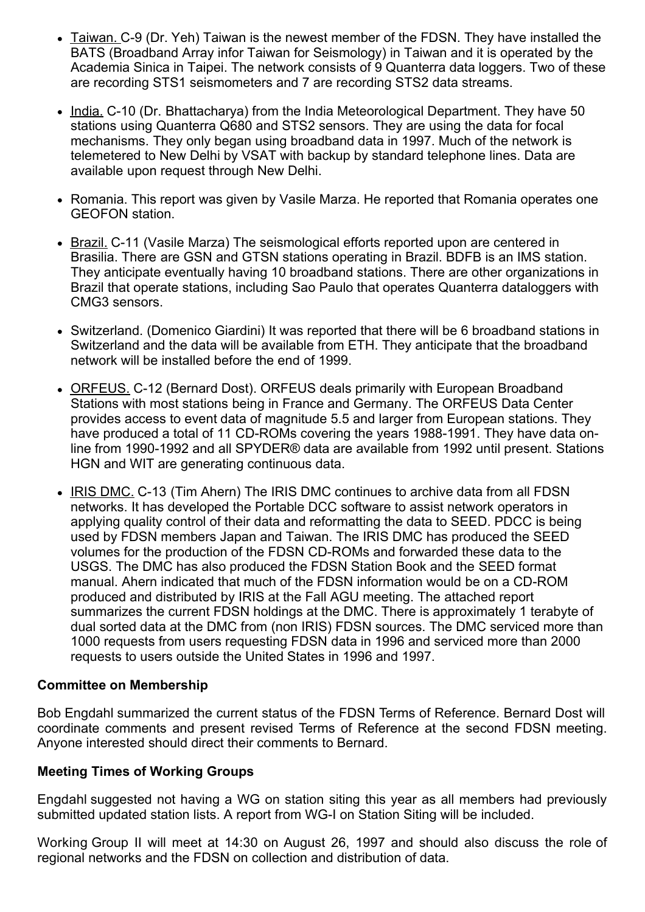- Taiwan. C-9 (Dr. Yeh) Taiwan is the newest member of the FDSN. They have installed the BATS (Broadband Array infor Taiwan for Seismology) in Taiwan and it is operated by the Academia Sinica in Taipei. The network consists of 9 Quanterra data loggers. Two of these are recording STS1 seismometers and 7 are recording STS2 data streams.
- India. C-10 (Dr. Bhattacharya) from the India Meteorological Department. They have 50 stations using Quanterra Q680 and STS2 sensors. They are using the data for focal mechanisms. They only began using broadband data in 1997. Much of the network is telemetered to New Delhi by VSAT with backup by standard telephone lines. Data are available upon request through New Delhi.
- Romania. This report was given by Vasile Marza. He reported that Romania operates one GEOFON station.
- Brazil. C-11 (Vasile Marza) The seismological efforts reported upon are centered in Brasilia. There are GSN and GTSN stations operating in Brazil. BDFB is an IMS station. They anticipate eventually having 10 broadband stations. There are other organizations in Brazil that operate stations, including Sao Paulo that operates Quanterra dataloggers with CMG3 sensors.
- Switzerland. (Domenico Giardini) It was reported that there will be 6 broadband stations in Switzerland and the data will be available from ETH. They anticipate that the broadband network will be installed before the end of 1999.
- ORFEUS. C-12 (Bernard Dost). ORFEUS deals primarily with European Broadband Stations with most stations being in France and Germany. The ORFEUS Data Center provides access to event data of magnitude 5.5 and larger from European stations. They have produced a total of 11 CD-ROMs covering the years 1988-1991. They have data online from 1990-1992 and all SPYDER® data are available from 1992 until present. Stations HGN and WIT are generating continuous data.
- IRIS DMC, C-13 (Tim Ahern) The IRIS DMC continues to archive data from all FDSN networks. It has developed the Portable DCC software to assist network operators in applying quality control of their data and reformatting the data to SEED. PDCC is being used by FDSN members Japan and Taiwan. The IRIS DMC has produced the SEED volumes for the production of the FDSN CD-ROMs and forwarded these data to the USGS. The DMC has also produced the FDSN Station Book and the SEED format manual. Ahern indicated that much of the FDSN information would be on a CD-ROM produced and distributed by IRIS at the Fall AGU meeting. The attached report summarizes the current FDSN holdings at the DMC. There is approximately 1 terabyte of dual sorted data at the DMC from (non IRIS) FDSN sources. The DMC serviced more than 1000 requests from users requesting FDSN data in 1996 and serviced more than 2000 requests to users outside the United States in 1996 and 1997.

### **Committee on Membership**

Bob Engdahl summarized the current status of the FDSN Terms of Reference. Bernard Dost will coordinate comments and present revised Terms of Reference at the second FDSN meeting. Anyone interested should direct their comments to Bernard.

#### **Meeting Times of Working Groups**

Engdahl suggested not having a WG on station siting this year as all members had previously submitted updated station lists. A report from WG-I on Station Siting will be included.

Working Group II will meet at 14:30 on August 26, 1997 and should also discuss the role of regional networks and the FDSN on collection and distribution of data.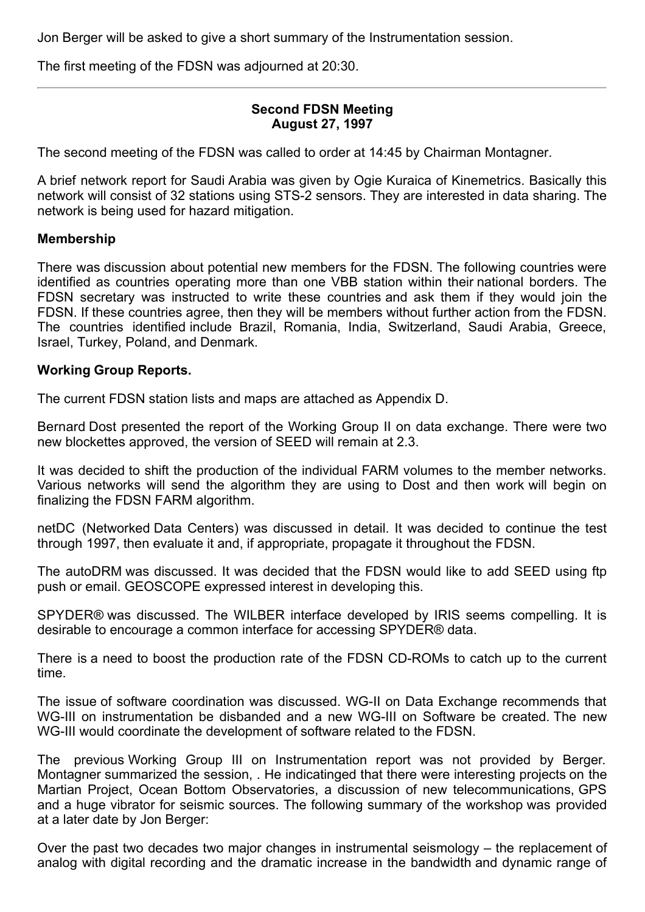Jon Berger will be asked to give a short summary of the Instrumentation session.

The first meeting of the FDSN was adjourned at 20:30.

### **Second FDSN Meeting August 27, 1997**

The second meeting of the FDSN was called to order at 14:45 by Chairman Montagner.

A brief network report for Saudi Arabia was given by Ogie Kuraica of Kinemetrics. Basically this network will consist of 32 stations using STS-2 sensors. They are interested in data sharing. The network is being used for hazard mitigation.

#### **Membership**

There was discussion about potential new members for the FDSN. The following countries were identified as countries operating more than one VBB station within their national borders. The FDSN secretary was instructed to write these countries and ask them if they would join the FDSN. If these countries agree, then they will be members without further action from the FDSN. The countries identified include Brazil, Romania, India, Switzerland, Saudi Arabia, Greece, Israel, Turkey, Poland, and Denmark.

#### **Working Group Reports.**

The current FDSN station lists and maps are attached as Appendix D.

Bernard Dost presented the report of the Working Group II on data exchange. There were two new blockettes approved, the version of SEED will remain at 2.3.

It was decided to shift the production of the individual FARM volumes to the member networks. Various networks will send the algorithm they are using to Dost and then work will begin on finalizing the FDSN FARM algorithm.

netDC (Networked Data Centers) was discussed in detail. It was decided to continue the test through 1997, then evaluate it and, if appropriate, propagate it throughout the FDSN.

The autoDRM was discussed. It was decided that the FDSN would like to add SEED using ftp push or email. GEOSCOPE expressed interest in developing this.

SPYDER® was discussed. The WILBER interface developed by IRIS seems compelling. It is desirable to encourage a common interface for accessing SPYDER® data.

There is a need to boost the production rate of the FDSN CD-ROMs to catch up to the current time.

The issue of software coordination was discussed. WG-II on Data Exchange recommends that WG-III on instrumentation be disbanded and a new WG-III on Software be created. The new WG-III would coordinate the development of software related to the FDSN.

The previous Working Group III on Instrumentation report was not provided by Berger. Montagner summarized the session, . He indicatinged that there were interesting projects on the Martian Project, Ocean Bottom Observatories, a discussion of new telecommunications, GPS and a huge vibrator for seismic sources. The following summary of the workshop was provided at a later date by Jon Berger:

Over the past two decades two major changes in instrumental seismology – the replacement of analog with digital recording and the dramatic increase in the bandwidth and dynamic range of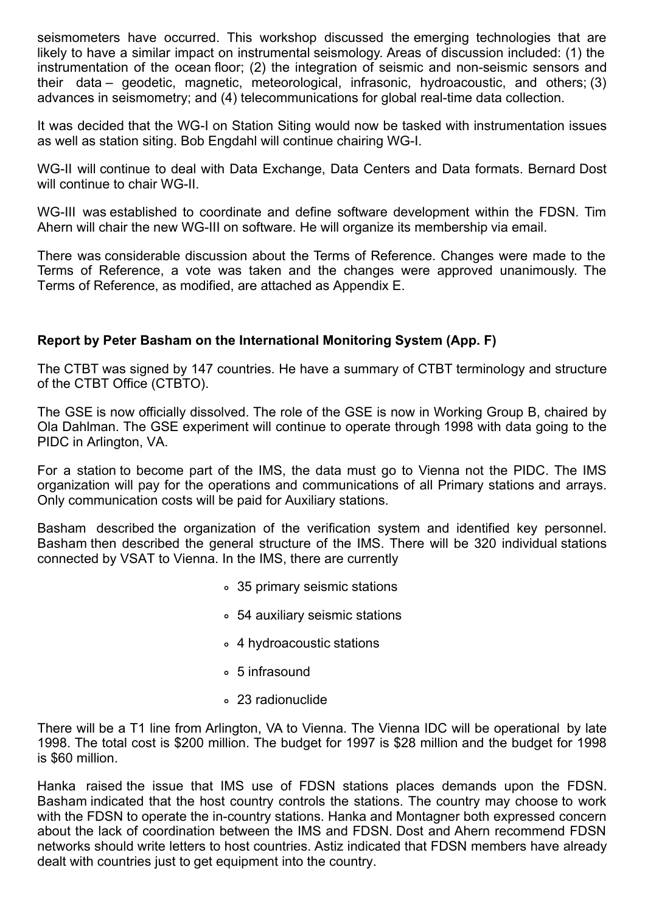seismometers have occurred. This workshop discussed the emerging technologies that are likely to have a similar impact on instrumental seismology. Areas of discussion included: (1) the instrumentation of the ocean floor; (2) the integration of seismic and non-seismic sensors and their data – geodetic, magnetic, meteorological, infrasonic, hydroacoustic, and others; (3) advances in seismometry; and (4) telecommunications for global real-time data collection.

It was decided that the WG-I on Station Siting would now be tasked with instrumentation issues as well as station siting. Bob Engdahl will continue chairing WG-I.

WG-II will continue to deal with Data Exchange, Data Centers and Data formats. Bernard Dost will continue to chair WG-II.

WG-III was established to coordinate and define software development within the FDSN. Tim Ahern will chair the new WG-III on software. He will organize its membership via email.

There was considerable discussion about the Terms of Reference. Changes were made to the Terms of Reference, a vote was taken and the changes were approved unanimously. The Terms of Reference, as modified, are attached as Appendix E.

# **Report by Peter Basham on the International Monitoring System (App. F)**

The CTBT was signed by 147 countries. He have a summary of CTBT terminology and structure of the CTBT Office (CTBTO).

The GSE is now officially dissolved. The role of the GSE is now in Working Group B, chaired by Ola Dahlman. The GSE experiment will continue to operate through 1998 with data going to the PIDC in Arlington, VA.

For a station to become part of the IMS, the data must go to Vienna not the PIDC. The IMS organization will pay for the operations and communications of all Primary stations and arrays. Only communication costs will be paid for Auxiliary stations.

Basham described the organization of the verification system and identified key personnel. Basham then described the general structure of the IMS. There will be 320 individual stations connected by VSAT to Vienna. In the IMS, there are currently

- 35 primary seismic stations
- 54 auxiliary seismic stations
- 4 hydroacoustic stations
- 5 infrasound
- 23 radionuclide

There will be a T1 line from Arlington, VA to Vienna. The Vienna IDC will be operational by late 1998. The total cost is \$200 million. The budget for 1997 is \$28 million and the budget for 1998 is \$60 million.

Hanka raised the issue that IMS use of FDSN stations places demands upon the FDSN. Basham indicated that the host country controls the stations. The country may choose to work with the FDSN to operate the in-country stations. Hanka and Montagner both expressed concern about the lack of coordination between the IMS and FDSN. Dost and Ahern recommend FDSN networks should write letters to host countries. Astiz indicated that FDSN members have already dealt with countries just to get equipment into the country.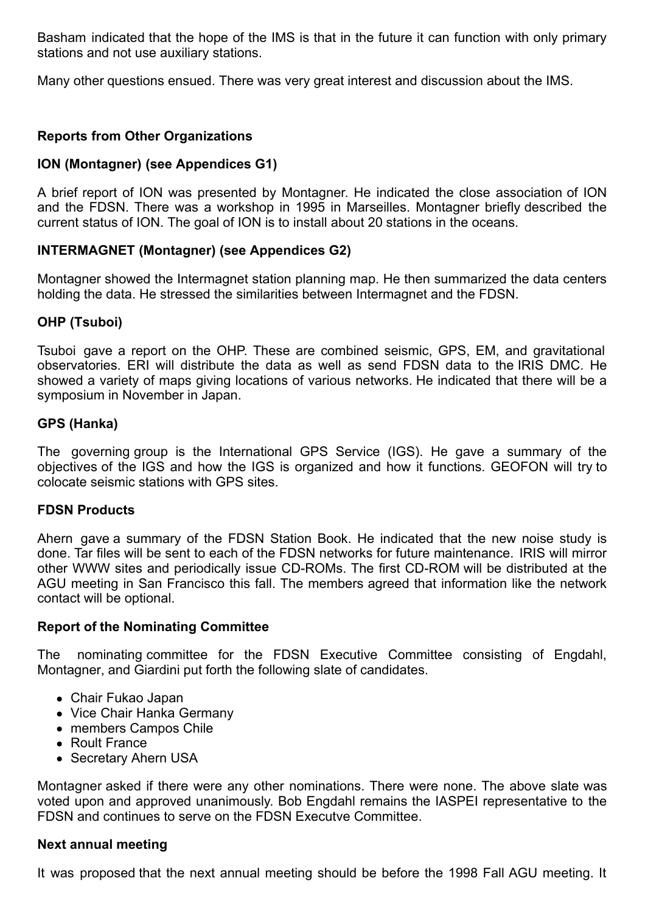Basham indicated that the hope of the IMS is that in the future it can function with only primary stations and not use auxiliary stations.

Many other questions ensued. There was very great interest and discussion about the IMS.

# **Reports from Other Organizations**

### **ION (Montagner) (see Appendices G1)**

A brief report of ION was presented by Montagner. He indicated the close association of ION and the FDSN. There was a workshop in 1995 in Marseilles. Montagner briefly described the current status of ION. The goal of ION is to install about 20 stations in the oceans.

### **INTERMAGNET (Montagner) (see Appendices G2)**

Montagner showed the Intermagnet station planning map. He then summarized the data centers holding the data. He stressed the similarities between Intermagnet and the FDSN.

### **OHP (Tsuboi)**

Tsuboi gave a report on the OHP. These are combined seismic, GPS, EM, and gravitational observatories. ERI will distribute the data as well as send FDSN data to the IRIS DMC. He showed a variety of maps giving locations of various networks. He indicated that there will be a symposium in November in Japan.

#### **GPS (Hanka)**

The governing group is the International GPS Service (IGS). He gave a summary of the objectives of the IGS and how the IGS is organized and how it functions. GEOFON will try to colocate seismic stations with GPS sites.

### **FDSN Products**

Ahern gave a summary of the FDSN Station Book. He indicated that the new noise study is done. Tar files will be sent to each of the FDSN networks for future maintenance. IRIS will mirror other WWW sites and periodically issue CD-ROMs. The first CD-ROM will be distributed at the AGU meeting in San Francisco this fall. The members agreed that information like the network contact will be optional.

### **Report of the Nominating Committee**

The nominating committee for the FDSN Executive Committee consisting of Engdahl, Montagner, and Giardini put forth the following slate of candidates.

- Chair Fukao Japan
- Vice Chair Hanka Germany
- members Campos Chile
- Roult France
- Secretary Ahern USA

Montagner asked if there were any other nominations. There were none. The above slate was voted upon and approved unanimously. Bob Engdahl remains the IASPEI representative to the FDSN and continues to serve on the FDSN Executve Committee.

#### **Next annual meeting**

It was proposed that the next annual meeting should be before the 1998 Fall AGU meeting. It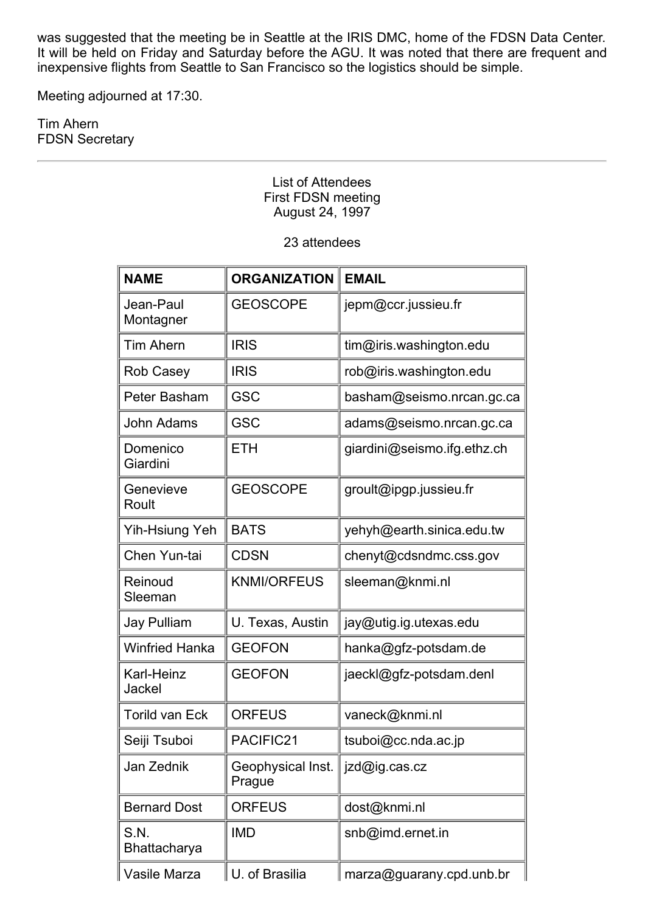was suggested that the meeting be in Seattle at the IRIS DMC, home of the FDSN Data Center. It will be held on Friday and Saturday before the AGU. It was noted that there are frequent and inexpensive flights from Seattle to San Francisco so the logistics should be simple.

Meeting adjourned at 17:30.

Tim Ahern FDSN Secretary

> List of Attendees First FDSN meeting August 24, 1997

#### 23 attendees

| <b>NAME</b>            | <b>ORGANIZATION</b>         | <b>EMAIL</b>                |
|------------------------|-----------------------------|-----------------------------|
| Jean-Paul<br>Montagner | <b>GEOSCOPE</b>             | jepm@ccr.jussieu.fr         |
| <b>Tim Ahern</b>       | <b>IRIS</b>                 | tim@iris.washington.edu     |
| <b>Rob Casey</b>       | <b>IRIS</b>                 | rob@iris.washington.edu     |
| Peter Basham           | <b>GSC</b>                  | basham@seismo.nrcan.gc.ca   |
| John Adams             | <b>GSC</b>                  | adams@seismo.nrcan.gc.ca    |
| Domenico<br>Giardini   | <b>ETH</b>                  | giardini@seismo.ifg.ethz.ch |
| Genevieve<br>Roult     | <b>GEOSCOPE</b>             | groult@ipgp.jussieu.fr      |
| Yih-Hsiung Yeh         | <b>BATS</b>                 | yehyh@earth.sinica.edu.tw   |
| Chen Yun-tai           | <b>CDSN</b>                 | chenyt@cdsndmc.css.gov      |
| Reinoud<br>Sleeman     | <b>KNMI/ORFEUS</b>          | sleeman@knmi.nl             |
| <b>Jay Pulliam</b>     | U. Texas, Austin            | jay@utig.ig.utexas.edu      |
| <b>Winfried Hanka</b>  | <b>GEOFON</b>               | hanka@gfz-potsdam.de        |
| Karl-Heinz<br>Jackel   | <b>GEOFON</b>               | jaeckl@gfz-potsdam.denl     |
| <b>Torild van Eck</b>  | <b>ORFEUS</b>               | vaneck@knmi.nl              |
| Seiji Tsuboi           | PACIFIC21                   | tsuboi@cc.nda.ac.jp         |
| Jan Zednik             | Geophysical Inst.<br>Prague | ∣jzd@ig.cas.cz              |
| <b>Bernard Dost</b>    | <b>ORFEUS</b>               | dost@knmi.nl                |
| S.N.<br>Bhattacharya   | <b>IMD</b>                  | snb@imd.ernet.in            |
| Vasile Marza           | U. of Brasilia              | marza@guarany.cpd.unb.br    |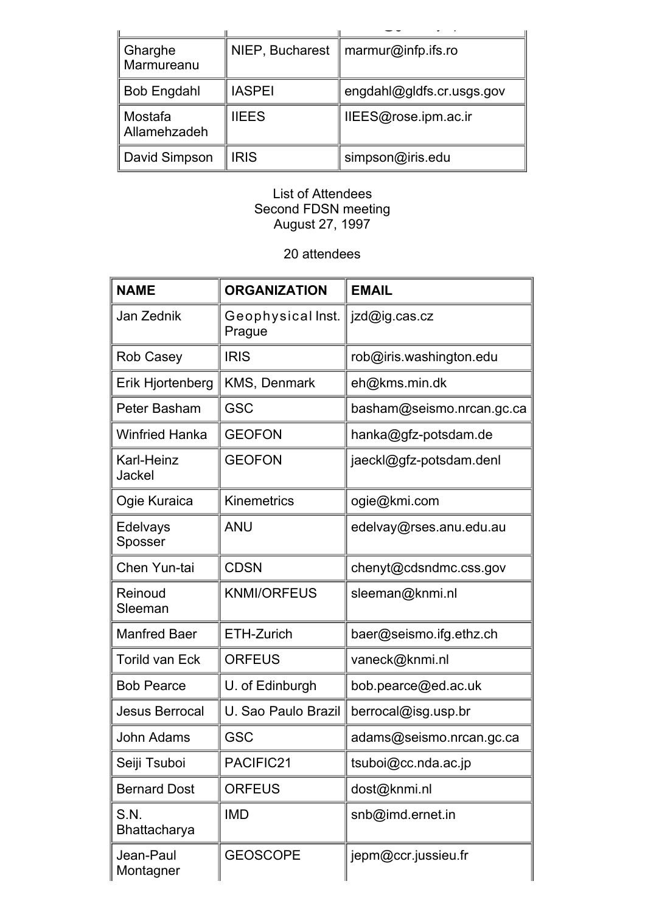| Gharghe<br>Marmureanu   |               | NIEP, Bucharest $\parallel$ marmur@infp.ifs.ro |
|-------------------------|---------------|------------------------------------------------|
| <b>Bob Engdahl</b>      | <b>IASPEI</b> | engdahl@gldfs.cr.usgs.gov                      |
| Mostafa<br>Allamehzadeh | <b>IIEES</b>  | IIEES@rose.ipm.ac.ir                           |
| David Simpson           | <b>IRIS</b>   | simpson@iris.edu                               |

### List of Attendees Second FDSN meeting August 27, 1997

# 20 attendees

| <b>NAME</b>            | <b>ORGANIZATION</b>         | <b>EMAIL</b>              |
|------------------------|-----------------------------|---------------------------|
| Jan Zednik             | Geophysical Inst.<br>Prague | jzd@ig.cas.cz             |
| Rob Casey              | <b>IRIS</b>                 | rob@iris.washington.edu   |
| Erik Hjortenberg       | KMS, Denmark                | eh@kms.min.dk             |
| Peter Basham           | <b>GSC</b>                  | basham@seismo.nrcan.gc.ca |
| <b>Winfried Hanka</b>  | <b>GEOFON</b>               | hanka@gfz-potsdam.de      |
| Karl-Heinz<br>Jackel   | <b>GEOFON</b>               | jaeckl@gfz-potsdam.denl   |
| Ogie Kuraica           | <b>Kinemetrics</b>          | ogie@kmi.com              |
| Edelvays<br>Sposser    | <b>ANU</b>                  | edelvay@rses.anu.edu.au   |
| Chen Yun-tai           | <b>CDSN</b>                 | chenyt@cdsndmc.css.gov    |
| Reinoud<br>Sleeman     | <b>KNMI/ORFEUS</b>          | sleeman@knmi.nl           |
| <b>Manfred Baer</b>    | ETH-Zurich                  | baer@seismo.ifg.ethz.ch   |
| <b>Torild van Eck</b>  | <b>ORFEUS</b>               | vaneck@knmi.nl            |
| <b>Bob Pearce</b>      | U. of Edinburgh             | bob.pearce@ed.ac.uk       |
| <b>Jesus Berrocal</b>  | U. Sao Paulo Brazil         | berrocal@isg.usp.br       |
| John Adams             | <b>GSC</b>                  | adams@seismo.nrcan.gc.ca  |
| Seiji Tsuboi           | PACIFIC21                   | tsuboi@cc.nda.ac.jp       |
| <b>Bernard Dost</b>    | <b>ORFEUS</b>               | dost@knmi.nl              |
| S.N.<br>Bhattacharya   | <b>IMD</b>                  | snb@imd.ernet.in          |
| Jean-Paul<br>Montagner | <b>GEOSCOPE</b>             | jepm@ccr.jussieu.fr       |